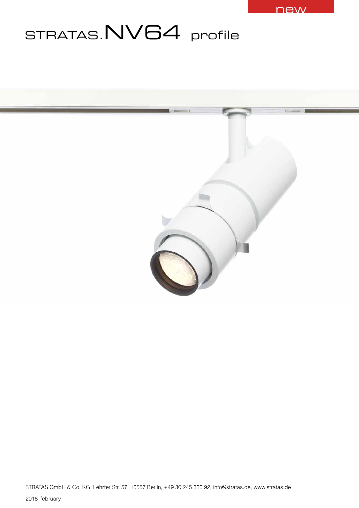

# STRATAS.NV64 profile

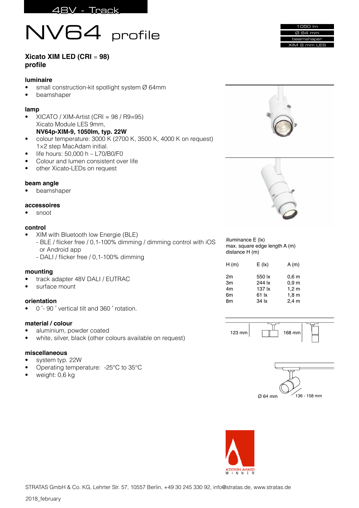



### **Xicato XIM LED (CRI** = **98) profile**

#### **luminaire**

- small construction-kit spotlight system Ø 64mm
- beamshaper

# **lamp**

- XICATO / XIM-Artist (CRI = 98 / R9=95) Xicato Module LES 9mm, **NV64p-XIM-9, 1050Im, typ. 22W**
- colour temperature: 3000 K (2700 K, 3500 K, 4000 K on request) 1×2 step MacAdam initial.
- life hours: 50,000 h L70/B0/F0
- Colour and lumen consistent over life
- other Xicato-LEDs on request

#### **beam angle**

• beamshaper

#### **accessoires**

• snoot

#### **control**

• XIM with Bluetooth low Energie (BLE) - BLE / flicker free / 0,1-100% dimming / dimming control with iOS or Android app - DALI / flicker free / 0,1-100% dimming

#### **mounting**

- track adapter 48V DALI / EUTRAC
- surface mount

#### **orientation**

• 0 ̊- 90 ̊ vertical tilt and 360 ̊ rotation.

#### **material / colour**

- aluminium, powder coated
- white, silver, black (other colours available on request)

#### **miscellaneous**

- system typ. 22W
- Operating temperature: -25°C to 35°C
- weight: 0.6 kg







illuminance E (lx) max. square edge length A (m) distance H (m)

| 550 lx<br>0,6 <sub>m</sub><br>2m<br>244 lx<br>0.9 <sub>m</sub><br>Зm  | A(m) |
|-----------------------------------------------------------------------|------|
| 4m<br>137 lx<br>1,2m<br>6m<br>1,8m<br>61 lx<br>$2,4$ m<br>34 lx<br>8m |      |
|                                                                       |      |







STRATAS GmbH & Co. KG, Lehrter Str. 57, 10557 Berlin, +49 30 245 330 92, info@stratas.de, www.stratas.de

2018 february